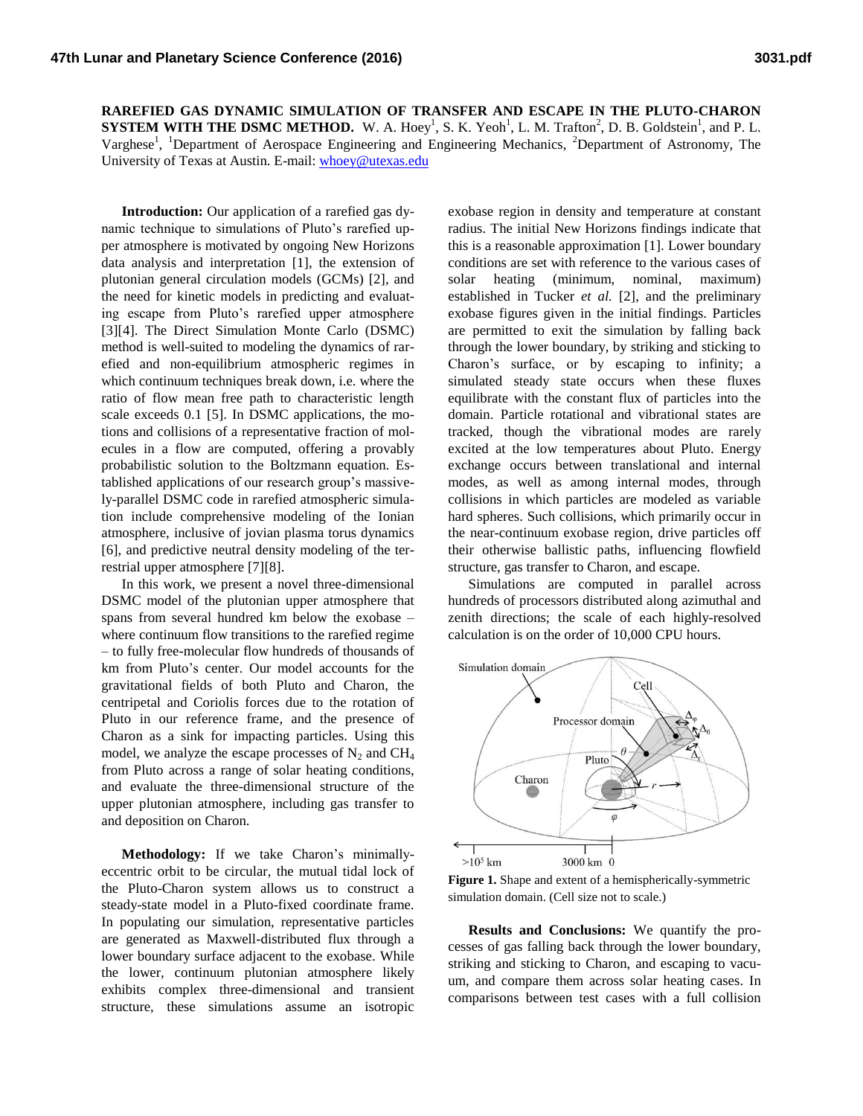**RAREFIED GAS DYNAMIC SIMULATION OF TRANSFER AND ESCAPE IN THE PLUTO-CHARON SYSTEM WITH THE DSMC METHOD.** W. A. Hoey<sup>1</sup>, S. K. Yeoh<sup>1</sup>, L. M. Trafton<sup>2</sup>, D. B. Goldstein<sup>1</sup>, and P. L. Varghese<sup>1</sup>, <sup>1</sup>Department of Aerospace Engineering and Engineering Mechanics, <sup>2</sup>Department of Astronomy, The University of Texas at Austin. E-mail[: whoey@utexas.edu](mailto:whoey@utexas.edu)

**Introduction:** Our application of a rarefied gas dynamic technique to simulations of Pluto's rarefied upper atmosphere is motivated by ongoing New Horizons data analysis and interpretation [1], the extension of plutonian general circulation models (GCMs) [2], and the need for kinetic models in predicting and evaluating escape from Pluto's rarefied upper atmosphere [3][4]. The Direct Simulation Monte Carlo (DSMC) method is well-suited to modeling the dynamics of rarefied and non-equilibrium atmospheric regimes in which continuum techniques break down, i.e. where the ratio of flow mean free path to characteristic length scale exceeds 0.1 [5]. In DSMC applications, the motions and collisions of a representative fraction of molecules in a flow are computed, offering a provably probabilistic solution to the Boltzmann equation. Established applications of our research group's massively-parallel DSMC code in rarefied atmospheric simulation include comprehensive modeling of the Ionian atmosphere, inclusive of jovian plasma torus dynamics [6], and predictive neutral density modeling of the terrestrial upper atmosphere [7][8].

In this work, we present a novel three-dimensional DSMC model of the plutonian upper atmosphere that spans from several hundred km below the exobase – where continuum flow transitions to the rarefied regime – to fully free-molecular flow hundreds of thousands of km from Pluto's center. Our model accounts for the gravitational fields of both Pluto and Charon, the centripetal and Coriolis forces due to the rotation of Pluto in our reference frame, and the presence of Charon as a sink for impacting particles. Using this model, we analyze the escape processes of  $N_2$  and  $CH_4$ from Pluto across a range of solar heating conditions, and evaluate the three-dimensional structure of the upper plutonian atmosphere, including gas transfer to and deposition on Charon.

**Methodology:** If we take Charon's minimallyeccentric orbit to be circular, the mutual tidal lock of the Pluto-Charon system allows us to construct a steady-state model in a Pluto-fixed coordinate frame. In populating our simulation, representative particles are generated as Maxwell-distributed flux through a lower boundary surface adjacent to the exobase. While the lower, continuum plutonian atmosphere likely exhibits complex three-dimensional and transient structure, these simulations assume an isotropic

exobase region in density and temperature at constant radius. The initial New Horizons findings indicate that this is a reasonable approximation [1]. Lower boundary conditions are set with reference to the various cases of solar heating (minimum, nominal, maximum) established in Tucker *et al.* [2], and the preliminary exobase figures given in the initial findings. Particles are permitted to exit the simulation by falling back through the lower boundary, by striking and sticking to Charon's surface, or by escaping to infinity; a simulated steady state occurs when these fluxes equilibrate with the constant flux of particles into the domain. Particle rotational and vibrational states are tracked, though the vibrational modes are rarely excited at the low temperatures about Pluto. Energy exchange occurs between translational and internal modes, as well as among internal modes, through collisions in which particles are modeled as variable hard spheres. Such collisions, which primarily occur in the near-continuum exobase region, drive particles off their otherwise ballistic paths, influencing flowfield structure, gas transfer to Charon, and escape.

Simulations are computed in parallel across hundreds of processors distributed along azimuthal and zenith directions; the scale of each highly-resolved calculation is on the order of 10,000 CPU hours.



**Figure 1.** Shape and extent of a hemispherically-symmetric simulation domain. (Cell size not to scale.)

**Results and Conclusions:** We quantify the processes of gas falling back through the lower boundary, striking and sticking to Charon, and escaping to vacuum, and compare them across solar heating cases. In comparisons between test cases with a full collision